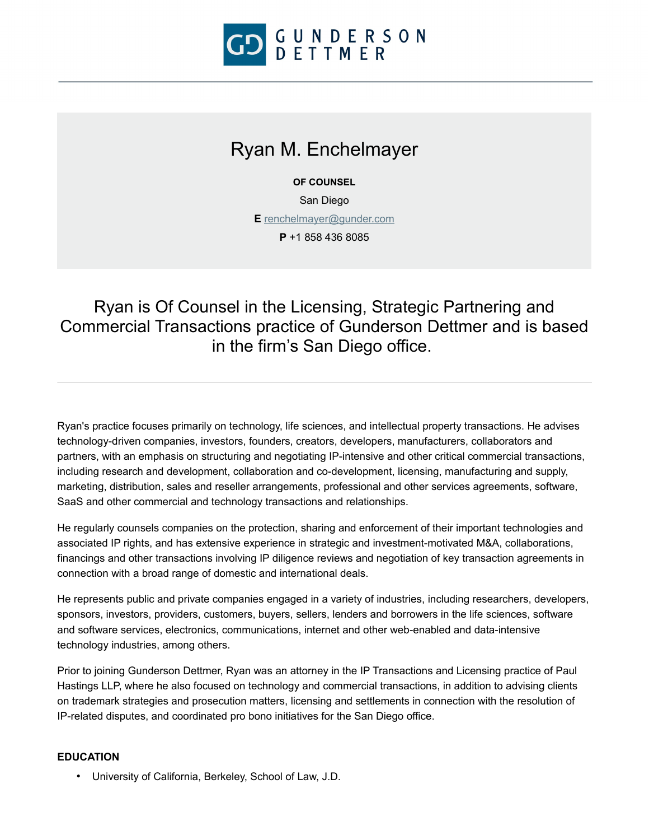

# Ryan M. Enchelmayer

**OF COUNSEL**

San Diego

**E** [renchelmayer@gunder.com](mailto:renchelmayer@gunder.com)

**P** +1 858 436 8085

Ryan is Of Counsel in the Licensing, Strategic Partnering and Commercial Transactions practice of Gunderson Dettmer and is based in the firm's San Diego office.

Ryan's practice focuses primarily on technology, life sciences, and intellectual property transactions. He advises technology-driven companies, investors, founders, creators, developers, manufacturers, collaborators and partners, with an emphasis on structuring and negotiating IP-intensive and other critical commercial transactions, including research and development, collaboration and co-development, licensing, manufacturing and supply, marketing, distribution, sales and reseller arrangements, professional and other services agreements, software, SaaS and other commercial and technology transactions and relationships.

He regularly counsels companies on the protection, sharing and enforcement of their important technologies and associated IP rights, and has extensive experience in strategic and investment-motivated M&A, collaborations, financings and other transactions involving IP diligence reviews and negotiation of key transaction agreements in connection with a broad range of domestic and international deals.

He represents public and private companies engaged in a variety of industries, including researchers, developers, sponsors, investors, providers, customers, buyers, sellers, lenders and borrowers in the life sciences, software and software services, electronics, communications, internet and other web-enabled and data-intensive technology industries, among others.

Prior to joining Gunderson Dettmer, Ryan was an attorney in the IP Transactions and Licensing practice of Paul Hastings LLP, where he also focused on technology and commercial transactions, in addition to advising clients on trademark strategies and prosecution matters, licensing and settlements in connection with the resolution of IP-related disputes, and coordinated pro bono initiatives for the San Diego office.

#### **EDUCATION**

• University of California, Berkeley, School of Law, J.D.